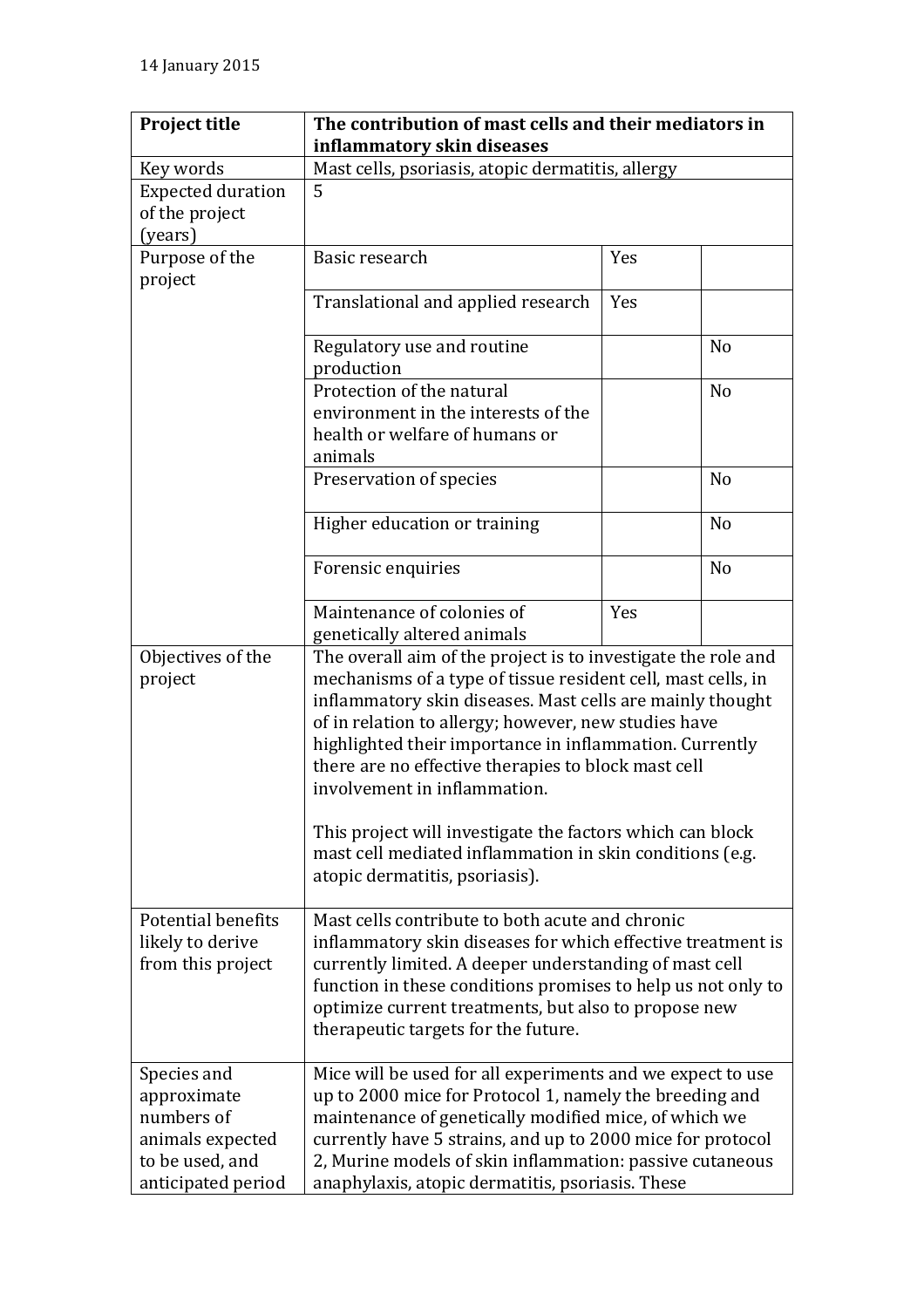| <b>Project title</b>                                                            | The contribution of mast cells and their mediators in                                                                                                                                                                                                                                                                                                                                                                                                                                                                                                           |     |                |
|---------------------------------------------------------------------------------|-----------------------------------------------------------------------------------------------------------------------------------------------------------------------------------------------------------------------------------------------------------------------------------------------------------------------------------------------------------------------------------------------------------------------------------------------------------------------------------------------------------------------------------------------------------------|-----|----------------|
|                                                                                 | inflammatory skin diseases                                                                                                                                                                                                                                                                                                                                                                                                                                                                                                                                      |     |                |
| Key words                                                                       | Mast cells, psoriasis, atopic dermatitis, allergy                                                                                                                                                                                                                                                                                                                                                                                                                                                                                                               |     |                |
| <b>Expected duration</b>                                                        | 5                                                                                                                                                                                                                                                                                                                                                                                                                                                                                                                                                               |     |                |
| of the project                                                                  |                                                                                                                                                                                                                                                                                                                                                                                                                                                                                                                                                                 |     |                |
| (years)                                                                         |                                                                                                                                                                                                                                                                                                                                                                                                                                                                                                                                                                 |     |                |
| Purpose of the                                                                  | Basic research                                                                                                                                                                                                                                                                                                                                                                                                                                                                                                                                                  | Yes |                |
| project                                                                         |                                                                                                                                                                                                                                                                                                                                                                                                                                                                                                                                                                 |     |                |
|                                                                                 | Translational and applied research                                                                                                                                                                                                                                                                                                                                                                                                                                                                                                                              | Yes |                |
|                                                                                 | Regulatory use and routine                                                                                                                                                                                                                                                                                                                                                                                                                                                                                                                                      |     | N <sub>o</sub> |
|                                                                                 | production                                                                                                                                                                                                                                                                                                                                                                                                                                                                                                                                                      |     |                |
|                                                                                 | Protection of the natural                                                                                                                                                                                                                                                                                                                                                                                                                                                                                                                                       |     | N <sub>o</sub> |
|                                                                                 | environment in the interests of the                                                                                                                                                                                                                                                                                                                                                                                                                                                                                                                             |     |                |
|                                                                                 | health or welfare of humans or                                                                                                                                                                                                                                                                                                                                                                                                                                                                                                                                  |     |                |
|                                                                                 | animals                                                                                                                                                                                                                                                                                                                                                                                                                                                                                                                                                         |     |                |
|                                                                                 | Preservation of species                                                                                                                                                                                                                                                                                                                                                                                                                                                                                                                                         |     | N <sub>o</sub> |
|                                                                                 | Higher education or training                                                                                                                                                                                                                                                                                                                                                                                                                                                                                                                                    |     | N <sub>o</sub> |
|                                                                                 | Forensic enquiries                                                                                                                                                                                                                                                                                                                                                                                                                                                                                                                                              |     | N <sub>o</sub> |
|                                                                                 | Maintenance of colonies of                                                                                                                                                                                                                                                                                                                                                                                                                                                                                                                                      | Yes |                |
|                                                                                 | genetically altered animals                                                                                                                                                                                                                                                                                                                                                                                                                                                                                                                                     |     |                |
| Objectives of the<br>project                                                    | The overall aim of the project is to investigate the role and<br>mechanisms of a type of tissue resident cell, mast cells, in<br>inflammatory skin diseases. Mast cells are mainly thought<br>of in relation to allergy; however, new studies have<br>highlighted their importance in inflammation. Currently<br>there are no effective therapies to block mast cell<br>involvement in inflammation.<br>This project will investigate the factors which can block<br>mast cell mediated inflammation in skin conditions (e.g.<br>atopic dermatitis, psoriasis). |     |                |
|                                                                                 |                                                                                                                                                                                                                                                                                                                                                                                                                                                                                                                                                                 |     |                |
| Potential benefits                                                              | Mast cells contribute to both acute and chronic                                                                                                                                                                                                                                                                                                                                                                                                                                                                                                                 |     |                |
| likely to derive<br>from this project                                           | inflammatory skin diseases for which effective treatment is<br>currently limited. A deeper understanding of mast cell                                                                                                                                                                                                                                                                                                                                                                                                                                           |     |                |
|                                                                                 | function in these conditions promises to help us not only to                                                                                                                                                                                                                                                                                                                                                                                                                                                                                                    |     |                |
|                                                                                 | optimize current treatments, but also to propose new                                                                                                                                                                                                                                                                                                                                                                                                                                                                                                            |     |                |
|                                                                                 | therapeutic targets for the future.                                                                                                                                                                                                                                                                                                                                                                                                                                                                                                                             |     |                |
|                                                                                 |                                                                                                                                                                                                                                                                                                                                                                                                                                                                                                                                                                 |     |                |
| Species and<br>approximate<br>numbers of<br>animals expected<br>to be used, and | Mice will be used for all experiments and we expect to use<br>up to 2000 mice for Protocol 1, namely the breeding and<br>maintenance of genetically modified mice, of which we<br>currently have 5 strains, and up to 2000 mice for protocol<br>2, Murine models of skin inflammation: passive cutaneous                                                                                                                                                                                                                                                        |     |                |
| anticipated period                                                              | anaphylaxis, atopic dermatitis, psoriasis. These                                                                                                                                                                                                                                                                                                                                                                                                                                                                                                                |     |                |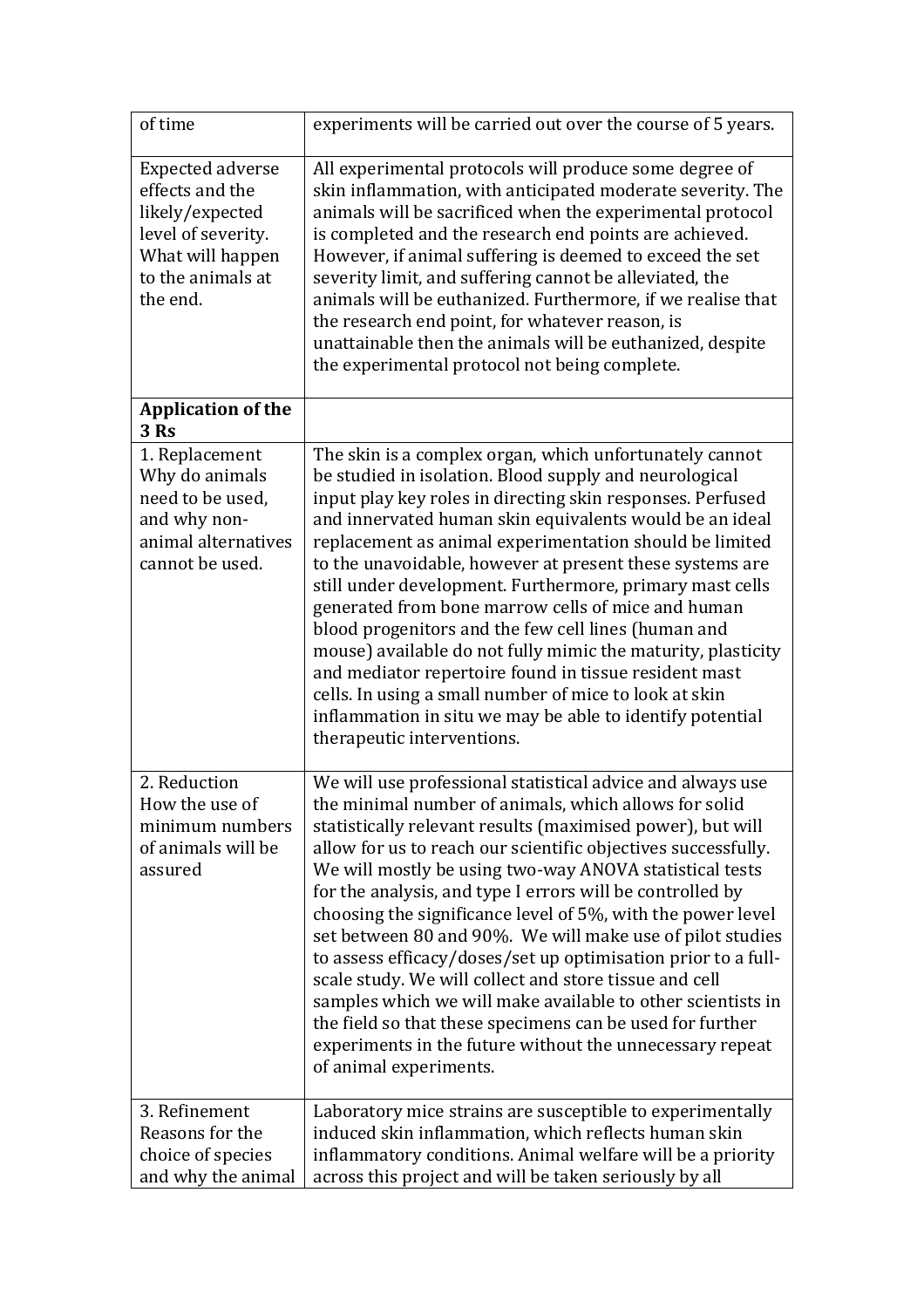| of time                                                                                                                                  | experiments will be carried out over the course of 5 years.                                                                                                                                                                                                                                                                                                                                                                                                                                                                                                                                                                                                                                                                                                                                                                                         |
|------------------------------------------------------------------------------------------------------------------------------------------|-----------------------------------------------------------------------------------------------------------------------------------------------------------------------------------------------------------------------------------------------------------------------------------------------------------------------------------------------------------------------------------------------------------------------------------------------------------------------------------------------------------------------------------------------------------------------------------------------------------------------------------------------------------------------------------------------------------------------------------------------------------------------------------------------------------------------------------------------------|
| <b>Expected adverse</b><br>effects and the<br>likely/expected<br>level of severity.<br>What will happen<br>to the animals at<br>the end. | All experimental protocols will produce some degree of<br>skin inflammation, with anticipated moderate severity. The<br>animals will be sacrificed when the experimental protocol<br>is completed and the research end points are achieved.<br>However, if animal suffering is deemed to exceed the set<br>severity limit, and suffering cannot be alleviated, the<br>animals will be euthanized. Furthermore, if we realise that<br>the research end point, for whatever reason, is<br>unattainable then the animals will be euthanized, despite<br>the experimental protocol not being complete.                                                                                                                                                                                                                                                  |
| <b>Application of the</b><br>$3$ Rs                                                                                                      |                                                                                                                                                                                                                                                                                                                                                                                                                                                                                                                                                                                                                                                                                                                                                                                                                                                     |
| 1. Replacement<br>Why do animals<br>need to be used,<br>and why non-<br>animal alternatives<br>cannot be used.                           | The skin is a complex organ, which unfortunately cannot<br>be studied in isolation. Blood supply and neurological<br>input play key roles in directing skin responses. Perfused<br>and innervated human skin equivalents would be an ideal<br>replacement as animal experimentation should be limited<br>to the unavoidable, however at present these systems are<br>still under development. Furthermore, primary mast cells<br>generated from bone marrow cells of mice and human<br>blood progenitors and the few cell lines (human and<br>mouse) available do not fully mimic the maturity, plasticity<br>and mediator repertoire found in tissue resident mast<br>cells. In using a small number of mice to look at skin<br>inflammation in situ we may be able to identify potential<br>therapeutic interventions.                            |
| 2. Reduction<br>How the use of<br>minimum numbers<br>of animals will be<br>assured                                                       | We will use professional statistical advice and always use<br>the minimal number of animals, which allows for solid<br>statistically relevant results (maximised power), but will<br>allow for us to reach our scientific objectives successfully.<br>We will mostly be using two-way ANOVA statistical tests<br>for the analysis, and type I errors will be controlled by<br>choosing the significance level of 5%, with the power level<br>set between 80 and 90%. We will make use of pilot studies<br>to assess efficacy/doses/set up optimisation prior to a full-<br>scale study. We will collect and store tissue and cell<br>samples which we will make available to other scientists in<br>the field so that these specimens can be used for further<br>experiments in the future without the unnecessary repeat<br>of animal experiments. |
| 3. Refinement<br>Reasons for the<br>choice of species<br>and why the animal                                                              | Laboratory mice strains are susceptible to experimentally<br>induced skin inflammation, which reflects human skin<br>inflammatory conditions. Animal welfare will be a priority<br>across this project and will be taken seriously by all                                                                                                                                                                                                                                                                                                                                                                                                                                                                                                                                                                                                           |